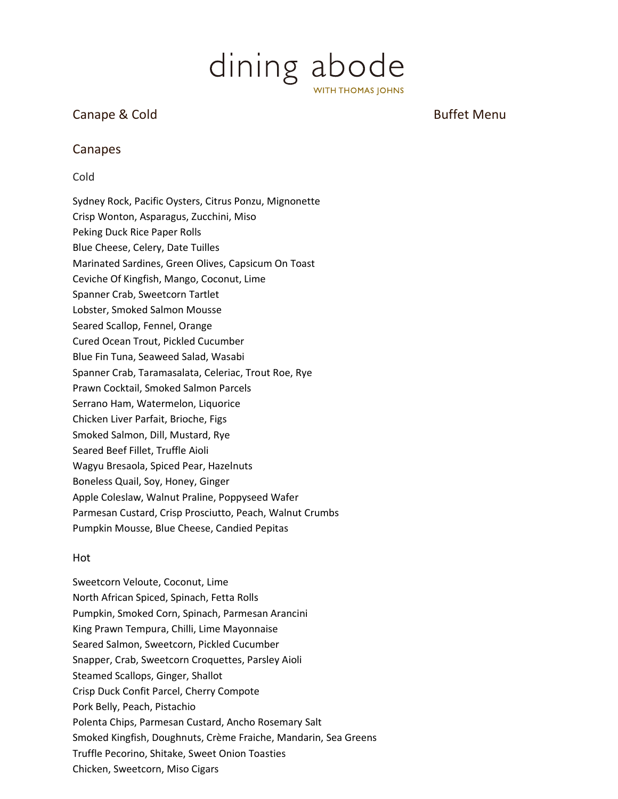

# Canape & Cold Buffet Menu

# Canapes

## Cold



#### Hot

Sweetcorn Veloute, Coconut, Lime North African Spiced, Spinach, Fetta Rolls Pumpkin, Smoked Corn, Spinach, Parmesan Arancini King Prawn Tempura, Chilli, Lime Mayonnaise Seared Salmon, Sweetcorn, Pickled Cucumber Snapper, Crab, Sweetcorn Croquettes, Parsley Aioli Steamed Scallops, Ginger, Shallot Crisp Duck Confit Parcel, Cherry Compote Pork Belly, Peach, Pistachio Polenta Chips, Parmesan Custard, Ancho Rosemary Salt Smoked Kingfish, Doughnuts, Crème Fraiche, Mandarin, Sea Greens Truffle Pecorino, Shitake, Sweet Onion Toasties Chicken, Sweetcorn, Miso Cigars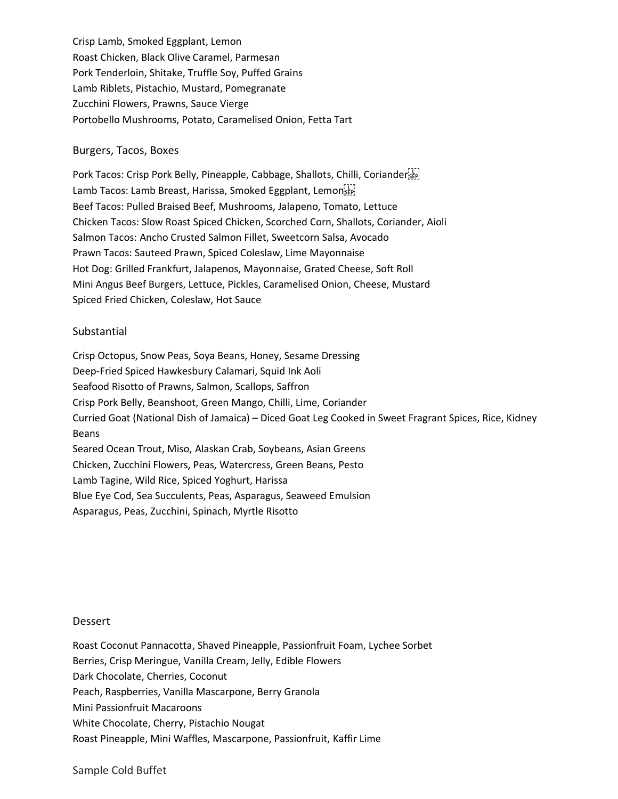Crisp Lamb, Smoked Eggplant, Lemon Roast Chicken, Black Olive Caramel, Parmesan Pork Tenderloin, Shitake, Truffle Soy, Puffed Grains Lamb Riblets, Pistachio, Mustard, Pomegranate Zucchini Flowers, Prawns, Sauce Vierge Portobello Mushrooms, Potato, Caramelised Onion, Fetta Tart

#### Burgers, Tacos, Boxes

Pork Tacos: Crisp Pork Belly, Pineapple, Cabbage, Shallots, Chilli, Coriander'ser Lamb Tacos: Lamb Breast, Harissa, Smoked Eggplant, Lemonistri Beef Tacos: Pulled Braised Beef, Mushrooms, Jalapeno, Tomato, Lettuce Chicken Tacos: Slow Roast Spiced Chicken, Scorched Corn, Shallots, Coriander, Aioli Salmon Tacos: Ancho Crusted Salmon Fillet, Sweetcorn Salsa, Avocado Prawn Tacos: Sauteed Prawn, Spiced Coleslaw, Lime Mayonnaise Hot Dog: Grilled Frankfurt, Jalapenos, Mayonnaise, Grated Cheese, Soft Roll Mini Angus Beef Burgers, Lettuce, Pickles, Caramelised Onion, Cheese, Mustard Spiced Fried Chicken, Coleslaw, Hot Sauce

### Substantial

Crisp Octopus, Snow Peas, Soya Beans, Honey, Sesame Dressing Deep-Fried Spiced Hawkesbury Calamari, Squid Ink Aoli Seafood Risotto of Prawns, Salmon, Scallops, Saffron Crisp Pork Belly, Beanshoot, Green Mango, Chilli, Lime, Coriander Curried Goat (National Dish of Jamaica) – Diced Goat Leg Cooked in Sweet Fragrant Spices, Rice, Kidney Beans Seared Ocean Trout, Miso, Alaskan Crab, Soybeans, Asian Greens Chicken, Zucchini Flowers, Peas, Watercress, Green Beans, Pesto Lamb Tagine, Wild Rice, Spiced Yoghurt, Harissa Blue Eye Cod, Sea Succulents, Peas, Asparagus, Seaweed Emulsion Asparagus, Peas, Zucchini, Spinach, Myrtle Risotto

#### Dessert

Roast Coconut Pannacotta, Shaved Pineapple, Passionfruit Foam, Lychee Sorbet Berries, Crisp Meringue, Vanilla Cream, Jelly, Edible Flowers Dark Chocolate, Cherries, Coconut Peach, Raspberries, Vanilla Mascarpone, Berry Granola Mini Passionfruit Macaroons White Chocolate, Cherry, Pistachio Nougat Roast Pineapple, Mini Waffles, Mascarpone, Passionfruit, Kaffir Lime